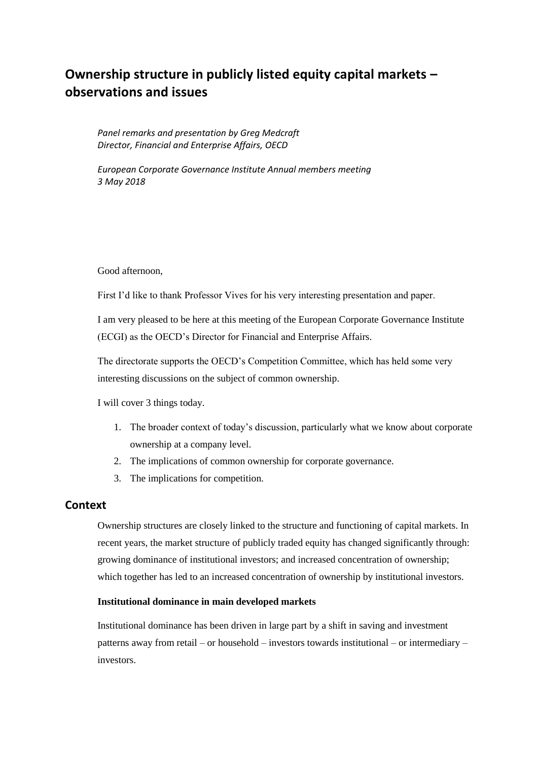# **Ownership structure in publicly listed equity capital markets – observations and issues**

*Panel remarks and presentation by Greg Medcraft Director, Financial and Enterprise Affairs, OECD*

*European Corporate Governance Institute Annual members meeting 3 May 2018*

Good afternoon,

First I'd like to thank Professor Vives for his very interesting presentation and paper.

I am very pleased to be here at this meeting of the European Corporate Governance Institute (ECGI) as the OECD's Director for Financial and Enterprise Affairs.

The directorate supports the OECD's Competition Committee, which has held some very interesting discussions on the subject of common ownership.

I will cover 3 things today.

- 1. The broader context of today's discussion, particularly what we know about corporate ownership at a company level.
- 2. The implications of common ownership for corporate governance.
- 3. The implications for competition.

## **Context**

Ownership structures are closely linked to the structure and functioning of capital markets. In recent years, the market structure of publicly traded equity has changed significantly through: growing dominance of institutional investors; and increased concentration of ownership; which together has led to an increased concentration of ownership by institutional investors.

### **Institutional dominance in main developed markets**

Institutional dominance has been driven in large part by a shift in saving and investment patterns away from retail – or household – investors towards institutional – or intermediary – investors.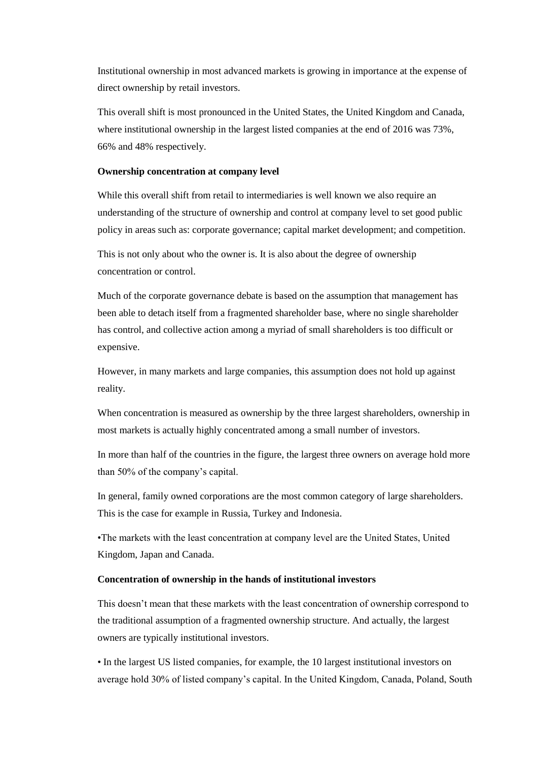Institutional ownership in most advanced markets is growing in importance at the expense of direct ownership by retail investors.

This overall shift is most pronounced in the United States, the United Kingdom and Canada, where institutional ownership in the largest listed companies at the end of 2016 was 73%, 66% and 48% respectively.

#### **Ownership concentration at company level**

While this overall shift from retail to intermediaries is well known we also require an understanding of the structure of ownership and control at company level to set good public policy in areas such as: corporate governance; capital market development; and competition.

This is not only about who the owner is. It is also about the degree of ownership concentration or control.

Much of the corporate governance debate is based on the assumption that management has been able to detach itself from a fragmented shareholder base, where no single shareholder has control, and collective action among a myriad of small shareholders is too difficult or expensive.

However, in many markets and large companies, this assumption does not hold up against reality.

When concentration is measured as ownership by the three largest shareholders, ownership in most markets is actually highly concentrated among a small number of investors.

In more than half of the countries in the figure, the largest three owners on average hold more than 50% of the company's capital.

In general, family owned corporations are the most common category of large shareholders. This is the case for example in Russia, Turkey and Indonesia.

•The markets with the least concentration at company level are the United States, United Kingdom, Japan and Canada.

#### **Concentration of ownership in the hands of institutional investors**

This doesn't mean that these markets with the least concentration of ownership correspond to the traditional assumption of a fragmented ownership structure. And actually, the largest owners are typically institutional investors.

• In the largest US listed companies, for example, the 10 largest institutional investors on average hold 30% of listed company's capital. In the United Kingdom, Canada, Poland, South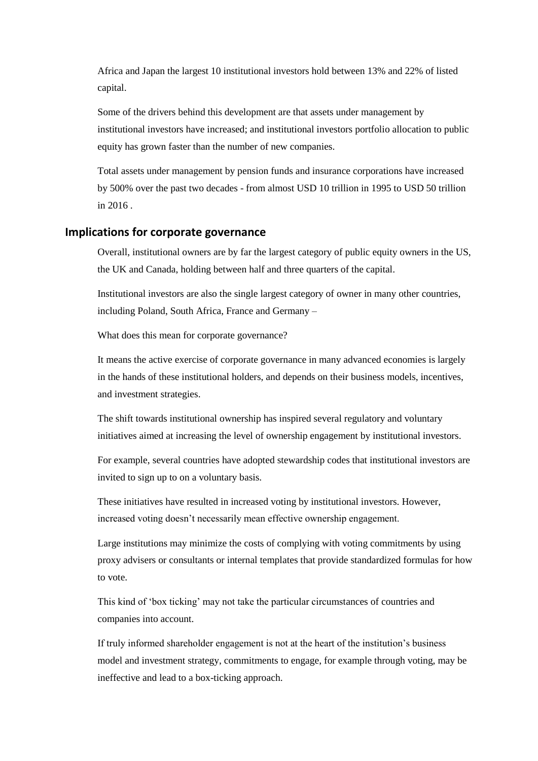Africa and Japan the largest 10 institutional investors hold between 13% and 22% of listed capital.

Some of the drivers behind this development are that assets under management by institutional investors have increased; and institutional investors portfolio allocation to public equity has grown faster than the number of new companies.

Total assets under management by pension funds and insurance corporations have increased by 500% over the past two decades - from almost USD 10 trillion in 1995 to USD 50 trillion in 2016 .

## **Implications for corporate governance**

Overall, institutional owners are by far the largest category of public equity owners in the US, the UK and Canada, holding between half and three quarters of the capital.

Institutional investors are also the single largest category of owner in many other countries, including Poland, South Africa, France and Germany –

What does this mean for corporate governance?

It means the active exercise of corporate governance in many advanced economies is largely in the hands of these institutional holders, and depends on their business models, incentives, and investment strategies.

The shift towards institutional ownership has inspired several regulatory and voluntary initiatives aimed at increasing the level of ownership engagement by institutional investors.

For example, several countries have adopted stewardship codes that institutional investors are invited to sign up to on a voluntary basis.

These initiatives have resulted in increased voting by institutional investors. However, increased voting doesn't necessarily mean effective ownership engagement.

Large institutions may minimize the costs of complying with voting commitments by using proxy advisers or consultants or internal templates that provide standardized formulas for how to vote.

This kind of 'box ticking' may not take the particular circumstances of countries and companies into account.

If truly informed shareholder engagement is not at the heart of the institution's business model and investment strategy, commitments to engage, for example through voting, may be ineffective and lead to a box-ticking approach.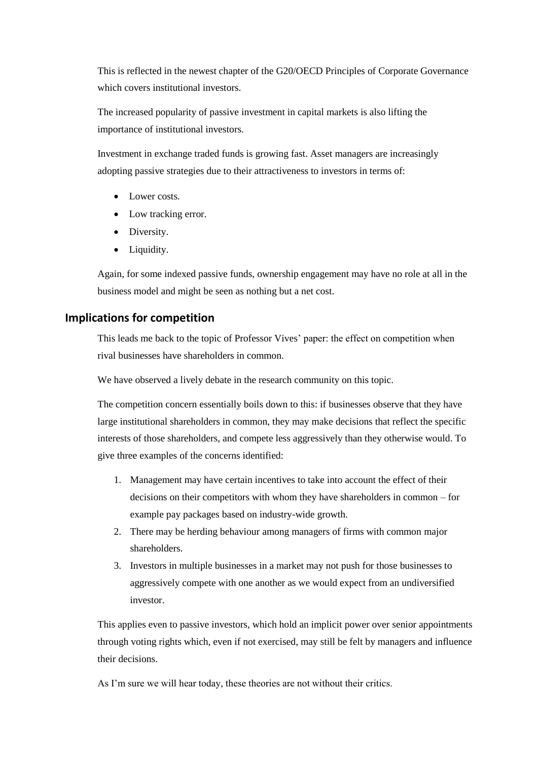This is reflected in the newest chapter of the G20/OECD Principles of Corporate Governance which covers institutional investors.

The increased popularity of passive investment in capital markets is also lifting the importance of institutional investors.

Investment in exchange traded funds is growing fast. Asset managers are increasingly adopting passive strategies due to their attractiveness to investors in terms of:

- Lower costs.
- Low tracking error.
- Diversity.
- Liquidity.

Again, for some indexed passive funds, ownership engagement may have no role at all in the business model and might be seen as nothing but a net cost.

# **Implications for competition**

This leads me back to the topic of Professor Vives' paper: the effect on competition when rival businesses have shareholders in common.

We have observed a lively debate in the research community on this topic.

The competition concern essentially boils down to this: if businesses observe that they have large institutional shareholders in common, they may make decisions that reflect the specific interests of those shareholders, and compete less aggressively than they otherwise would. To give three examples of the concerns identified:

- 1. Management may have certain incentives to take into account the effect of their decisions on their competitors with whom they have shareholders in common – for example pay packages based on industry-wide growth.
- 2. There may be herding behaviour among managers of firms with common major shareholders.
- 3. Investors in multiple businesses in a market may not push for those businesses to aggressively compete with one another as we would expect from an undiversified investor.

This applies even to passive investors, which hold an implicit power over senior appointments through voting rights which, even if not exercised, may still be felt by managers and influence their decisions.

As I'm sure we will hear today, these theories are not without their critics.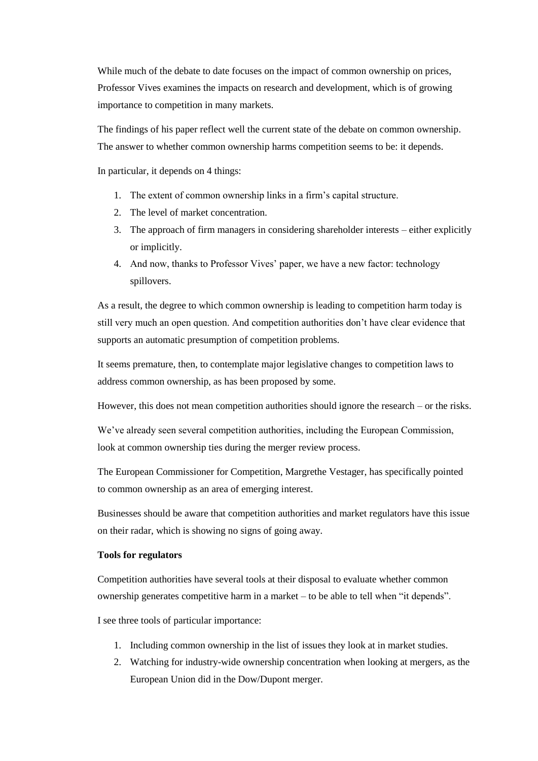While much of the debate to date focuses on the impact of common ownership on prices, Professor Vives examines the impacts on research and development, which is of growing importance to competition in many markets.

The findings of his paper reflect well the current state of the debate on common ownership. The answer to whether common ownership harms competition seems to be: it depends.

In particular, it depends on 4 things:

- 1. The extent of common ownership links in a firm's capital structure.
- 2. The level of market concentration.
- 3. The approach of firm managers in considering shareholder interests either explicitly or implicitly.
- 4. And now, thanks to Professor Vives' paper, we have a new factor: technology spillovers.

As a result, the degree to which common ownership is leading to competition harm today is still very much an open question. And competition authorities don't have clear evidence that supports an automatic presumption of competition problems.

It seems premature, then, to contemplate major legislative changes to competition laws to address common ownership, as has been proposed by some.

However, this does not mean competition authorities should ignore the research – or the risks.

We've already seen several competition authorities, including the European Commission, look at common ownership ties during the merger review process.

The European Commissioner for Competition, Margrethe Vestager, has specifically pointed to common ownership as an area of emerging interest.

Businesses should be aware that competition authorities and market regulators have this issue on their radar, which is showing no signs of going away.

#### **Tools for regulators**

Competition authorities have several tools at their disposal to evaluate whether common ownership generates competitive harm in a market – to be able to tell when "it depends".

I see three tools of particular importance:

- 1. Including common ownership in the list of issues they look at in market studies.
- 2. Watching for industry-wide ownership concentration when looking at mergers, as the European Union did in the Dow/Dupont merger.